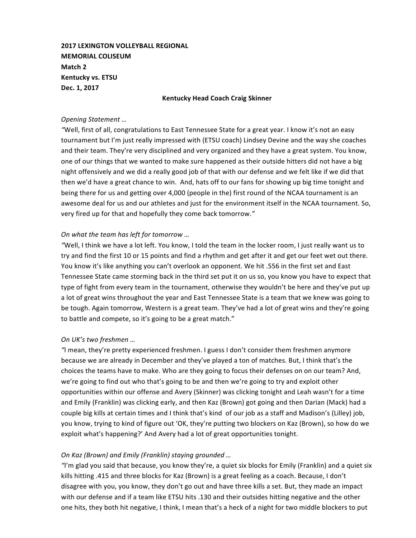**2017 LEXINGTON VOLLEYBALL REGIONAL MEMORIAL COLISEUM Match 2 Kentucky vs. ETSU Dec. 1, 2017**

#### **Kentucky Head Coach Craig Skinner**

#### *Opening Statement …*

"Well, first of all, congratulations to East Tennessee State for a great year. I know it's not an easy tournament but I'm just really impressed with (ETSU coach) Lindsey Devine and the way she coaches and their team. They're very disciplined and very organized and they have a great system. You know, one of our things that we wanted to make sure happened as their outside hitters did not have a big night offensively and we did a really good job of that with our defense and we felt like if we did that then we'd have a great chance to win. And, hats off to our fans for showing up big time tonight and being there for us and getting over 4,000 (people in the) first round of the NCAA tournament is an awesome deal for us and our athletes and just for the environment itself in the NCAA tournament. So, very fired up for that and hopefully they come back tomorrow."

#### *On what the team has left for tomorrow ...*

"Well, I think we have a lot left. You know, I told the team in the locker room, I just really want us to try and find the first 10 or 15 points and find a rhythm and get after it and get our feet wet out there. You know it's like anything you can't overlook an opponent. We hit .556 in the first set and East Tennessee State came storming back in the third set put it on us so, you know you have to expect that type of fight from every team in the tournament, otherwise they wouldn't be here and they've put up a lot of great wins throughout the year and East Tennessee State is a team that we knew was going to be tough. Again tomorrow, Western is a great team. They've had a lot of great wins and they're going to battle and compete, so it's going to be a great match."

### *On UK's two freshmen …*

"I mean, they're pretty experienced freshmen. I guess I don't consider them freshmen anymore because we are already in December and they've played a ton of matches. But, I think that's the choices the teams have to make. Who are they going to focus their defenses on on our team? And, we're going to find out who that's going to be and then we're going to try and exploit other opportunities within our offense and Avery (Skinner) was clicking tonight and Leah wasn't for a time and Emily (Franklin) was clicking early, and then Kaz (Brown) got going and then Darian (Mack) had a couple big kills at certain times and I think that's kind of our job as a staff and Madison's (Lilley) job, you know, trying to kind of figure out 'OK, they're putting two blockers on Kaz (Brown), so how do we exploit what's happening?' And Avery had a lot of great opportunities tonight.

### *On Kaz (Brown) and Emily (Franklin) staying grounded …*

"I'm glad you said that because, you know they're, a quiet six blocks for Emily (Franklin) and a quiet six kills hitting .415 and three blocks for Kaz (Brown) is a great feeling as a coach. Because, I don't disagree with you, you know, they don't go out and have three kills a set. But, they made an impact with our defense and if a team like ETSU hits .130 and their outsides hitting negative and the other one hits, they both hit negative, I think, I mean that's a heck of a night for two middle blockers to put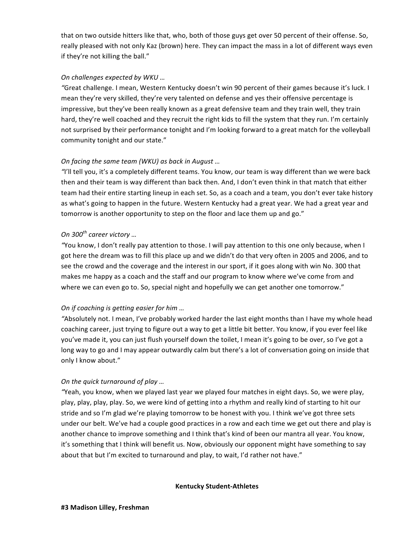that on two outside hitters like that, who, both of those guys get over 50 percent of their offense. So, really pleased with not only Kaz (brown) here. They can impact the mass in a lot of different ways even if they're not killing the ball."

### *On challenges expected by WKU …*

"Great challenge. I mean, Western Kentucky doesn't win 90 percent of their games because it's luck. I mean they're very skilled, they're very talented on defense and yes their offensive percentage is impressive, but they've been really known as a great defensive team and they train well, they train hard, they're well coached and they recruit the right kids to fill the system that they run. I'm certainly not surprised by their performance tonight and I'm looking forward to a great match for the volleyball community tonight and our state."

# *On facing the same team (WKU) as back in August ...*

"I'll tell you, it's a completely different teams. You know, our team is way different than we were back then and their team is way different than back then. And, I don't even think in that match that either team had their entire starting lineup in each set. So, as a coach and a team, you don't ever take history as what's going to happen in the future. Western Kentucky had a great year. We had a great year and tomorrow is another opportunity to step on the floor and lace them up and go."

# *On 300th career victory …*

*"You* know, I don't really pay attention to those. I will pay attention to this one only because, when I got here the dream was to fill this place up and we didn't do that very often in 2005 and 2006, and to see the crowd and the coverage and the interest in our sport, if it goes along with win No. 300 that makes me happy as a coach and the staff and our program to know where we've come from and where we can even go to. So, special night and hopefully we can get another one tomorrow."

# *On if coaching is getting easier for him ...*

"Absolutely not. I mean, I've probably worked harder the last eight months than I have my whole head coaching career, just trying to figure out a way to get a little bit better. You know, if you ever feel like you've made it, you can just flush yourself down the toilet, I mean it's going to be over, so I've got a long way to go and I may appear outwardly calm but there's a lot of conversation going on inside that only I know about."

### *On the quick turnaround of play ...*

"Yeah, you know, when we played last year we played four matches in eight days. So, we were play, play, play, play, play. So, we were kind of getting into a rhythm and really kind of starting to hit our stride and so I'm glad we're playing tomorrow to be honest with you. I think we've got three sets under our belt. We've had a couple good practices in a row and each time we get out there and play is another chance to improve something and I think that's kind of been our mantra all year. You know, it's something that I think will benefit us. Now, obviously our opponent might have something to say about that but I'm excited to turnaround and play, to wait, I'd rather not have."

### **Kentucky Student-Athletes**